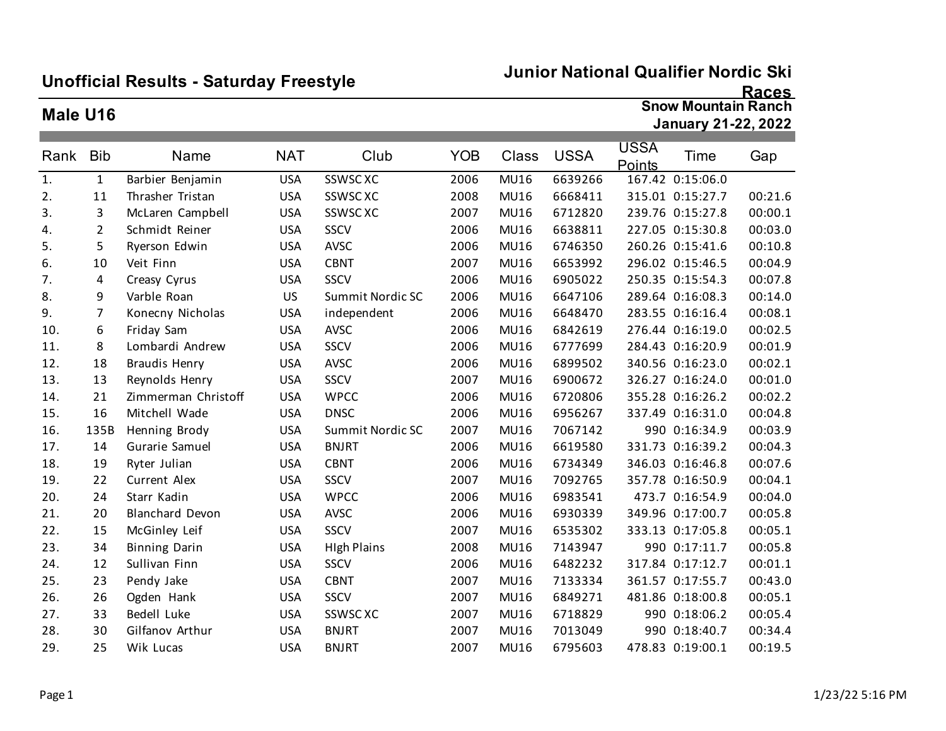## **Unofficial Results - Saturday Freestyle**

#### **Junior National Qualifier Nordic Ski**

#### **Races**

### **Male U16**

**Snow Mountain Ranch January 21-22, 2022**

| Rank | <b>Bib</b>     | Name                   | <b>NAT</b> | Club               | <b>YOB</b> | Class       | <b>USSA</b> | <b>USSA</b><br>Points | Time             | Gap     |
|------|----------------|------------------------|------------|--------------------|------------|-------------|-------------|-----------------------|------------------|---------|
| 1.   | $\mathbf{1}$   | Barbier Benjamin       | <b>USA</b> | SSWSC XC           | 2006       | MU16        | 6639266     |                       | 167.42 0:15:06.0 |         |
| 2.   | 11             | Thrasher Tristan       | <b>USA</b> | SSWSC XC           | 2008       | MU16        | 6668411     |                       | 315.01 0:15:27.7 | 00:21.6 |
| 3.   | 3              | McLaren Campbell       | <b>USA</b> | SSWSC XC           | 2007       | MU16        | 6712820     |                       | 239.76 0:15:27.8 | 00:00.1 |
| 4.   | $\overline{2}$ | Schmidt Reiner         | <b>USA</b> | SSCV               | 2006       | <b>MU16</b> | 6638811     |                       | 227.05 0:15:30.8 | 00:03.0 |
| 5.   | 5              | Ryerson Edwin          | <b>USA</b> | <b>AVSC</b>        | 2006       | MU16        | 6746350     |                       | 260.26 0:15:41.6 | 00:10.8 |
| 6.   | 10             | Veit Finn              | <b>USA</b> | <b>CBNT</b>        | 2007       | MU16        | 6653992     |                       | 296.02 0:15:46.5 | 00:04.9 |
| 7.   | 4              | Creasy Cyrus           | <b>USA</b> | SSCV               | 2006       | MU16        | 6905022     |                       | 250.35 0:15:54.3 | 00:07.8 |
| 8.   | 9              | Varble Roan            | <b>US</b>  | Summit Nordic SC   | 2006       | MU16        | 6647106     |                       | 289.64 0:16:08.3 | 00:14.0 |
| 9.   | $\overline{7}$ | Konecny Nicholas       | <b>USA</b> | independent        | 2006       | MU16        | 6648470     |                       | 283.55 0:16:16.4 | 00:08.1 |
| 10.  | 6              | Friday Sam             | <b>USA</b> | <b>AVSC</b>        | 2006       | MU16        | 6842619     |                       | 276.44 0:16:19.0 | 00:02.5 |
| 11.  | 8              | Lombardi Andrew        | <b>USA</b> | SSCV               | 2006       | MU16        | 6777699     |                       | 284.43 0:16:20.9 | 00:01.9 |
| 12.  | 18             | <b>Braudis Henry</b>   | <b>USA</b> | <b>AVSC</b>        | 2006       | MU16        | 6899502     |                       | 340.56 0:16:23.0 | 00:02.1 |
| 13.  | 13             | Reynolds Henry         | <b>USA</b> | SSCV               | 2007       | MU16        | 6900672     |                       | 326.27 0:16:24.0 | 00:01.0 |
| 14.  | 21             | Zimmerman Christoff    | <b>USA</b> | <b>WPCC</b>        | 2006       | MU16        | 6720806     |                       | 355.28 0:16:26.2 | 00:02.2 |
| 15.  | 16             | Mitchell Wade          | <b>USA</b> | <b>DNSC</b>        | 2006       | MU16        | 6956267     |                       | 337.49 0:16:31.0 | 00:04.8 |
| 16.  | 135B           | Henning Brody          | <b>USA</b> | Summit Nordic SC   | 2007       | MU16        | 7067142     |                       | 990 0:16:34.9    | 00:03.9 |
| 17.  | 14             | Gurarie Samuel         | <b>USA</b> | <b>BNJRT</b>       | 2006       | MU16        | 6619580     |                       | 331.73 0:16:39.2 | 00:04.3 |
| 18.  | 19             | Ryter Julian           | <b>USA</b> | <b>CBNT</b>        | 2006       | MU16        | 6734349     |                       | 346.03 0:16:46.8 | 00:07.6 |
| 19.  | 22             | Current Alex           | <b>USA</b> | SSCV               | 2007       | MU16        | 7092765     |                       | 357.78 0:16:50.9 | 00:04.1 |
| 20.  | 24             | Starr Kadin            | <b>USA</b> | <b>WPCC</b>        | 2006       | MU16        | 6983541     |                       | 473.7 0:16:54.9  | 00:04.0 |
| 21.  | 20             | <b>Blanchard Devon</b> | <b>USA</b> | <b>AVSC</b>        | 2006       | MU16        | 6930339     |                       | 349.96 0:17:00.7 | 00:05.8 |
| 22.  | 15             | McGinley Leif          | <b>USA</b> | SSCV               | 2007       | MU16        | 6535302     |                       | 333.13 0:17:05.8 | 00:05.1 |
| 23.  | 34             | <b>Binning Darin</b>   | <b>USA</b> | <b>High Plains</b> | 2008       | <b>MU16</b> | 7143947     |                       | 990 0:17:11.7    | 00:05.8 |
| 24.  | 12             | Sullivan Finn          | <b>USA</b> | <b>SSCV</b>        | 2006       | MU16        | 6482232     |                       | 317.84 0:17:12.7 | 00:01.1 |
| 25.  | 23             | Pendy Jake             | <b>USA</b> | <b>CBNT</b>        | 2007       | <b>MU16</b> | 7133334     |                       | 361.57 0:17:55.7 | 00:43.0 |
| 26.  | 26             | Ogden Hank             | <b>USA</b> | SSCV               | 2007       | MU16        | 6849271     |                       | 481.86 0:18:00.8 | 00:05.1 |
| 27.  | 33             | <b>Bedell Luke</b>     | <b>USA</b> | SSWSC XC           | 2007       | MU16        | 6718829     |                       | 990 0:18:06.2    | 00:05.4 |
| 28.  | 30             | Gilfanov Arthur        | <b>USA</b> | <b>BNJRT</b>       | 2007       | MU16        | 7013049     |                       | 990 0:18:40.7    | 00:34.4 |
| 29.  | 25             | Wik Lucas              | <b>USA</b> | <b>BNJRT</b>       | 2007       | <b>MU16</b> | 6795603     |                       | 478.83 0:19:00.1 | 00:19.5 |